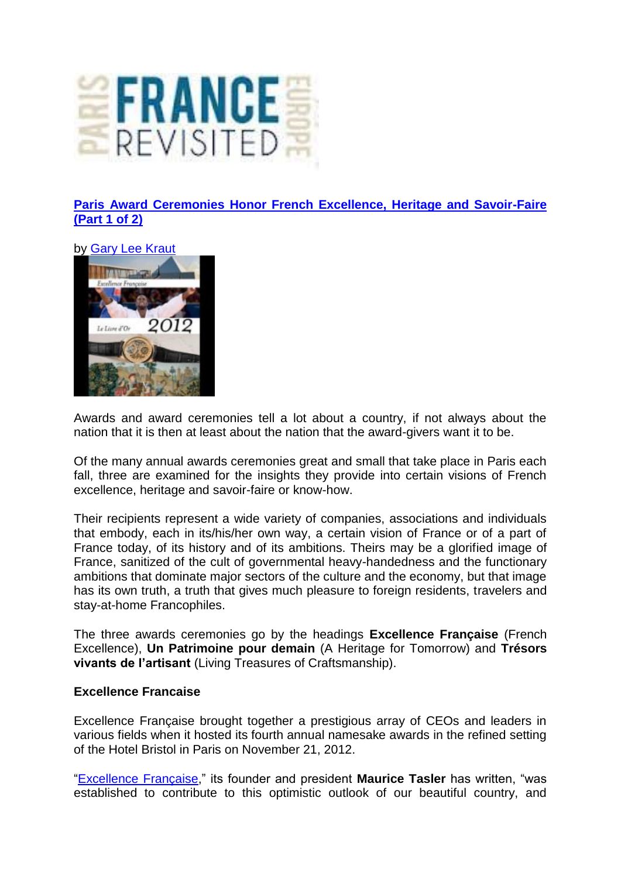

**[Paris Award Ceremonies Honor French Excellence, Heritage and Savoir-Faire](http://francerevisited.com/2012/12/paris-award-ceremonies-honor-french-excellence-heritage-and-savoir-faire-part-1-of-2/)  [\(Part 1 of 2\)](http://francerevisited.com/2012/12/paris-award-ceremonies-honor-french-excellence-heritage-and-savoir-faire-part-1-of-2/)** 

by [Gary Lee Kraut](http://francerevisited.com/author/admin/)



Awards and award ceremonies tell a lot about a country, if not always about the nation that it is then at least about the nation that the award-givers want it to be.

Of the many annual awards ceremonies great and small that take place in Paris each fall, three are examined for the insights they provide into certain visions of French excellence, heritage and savoir-faire or know-how.

Their recipients represent a wide variety of companies, associations and individuals that embody, each in its/his/her own way, a certain vision of France or of a part of France today, of its history and of its ambitions. Theirs may be a glorified image of France, sanitized of the cult of governmental heavy-handedness and the functionary ambitions that dominate major sectors of the culture and the economy, but that image has its own truth, a truth that gives much pleasure to foreign residents, travelers and stay-at-home Francophiles.

The three awards ceremonies go by the headings **Excellence Française** (French Excellence), **Un Patrimoine pour demain** (A Heritage for Tomorrow) and **Trésors vivants de l'artisant** (Living Treasures of Craftsmanship).

## **Excellence Francaise**

Excellence Française brought together a prestigious array of CEOs and leaders in various fields when it hosted its fourth annual namesake awards in the refined setting of the Hotel Bristol in Paris on November 21, 2012.

["Excellence Française,](http://excellencefrancaise.com/)" its founder and president **Maurice Tasler** has written, "was established to contribute to this optimistic outlook of our beautiful country, and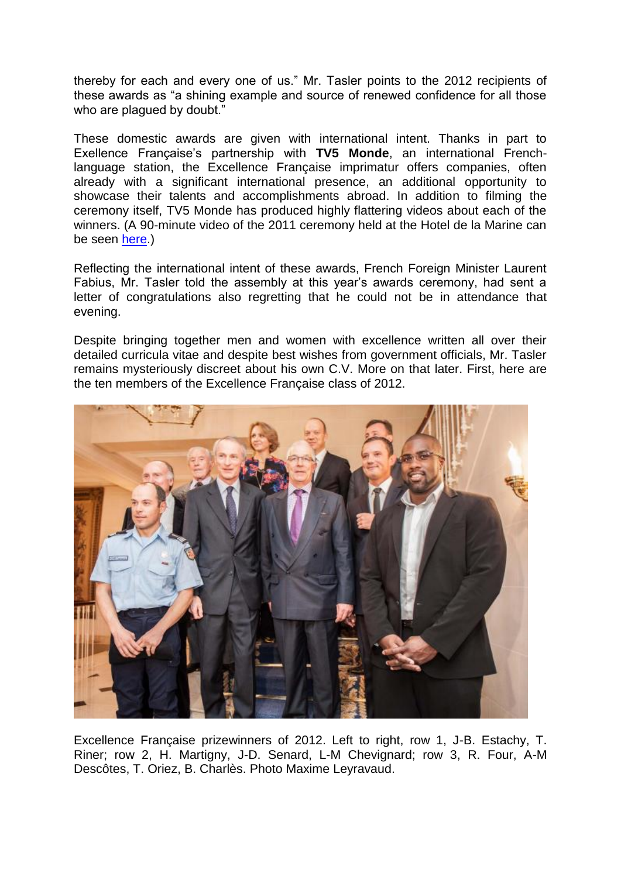thereby for each and every one of us." Mr. Tasler points to the 2012 recipients of these awards as "a shining example and source of renewed confidence for all those who are plaqued by doubt."

These domestic awards are given with international intent. Thanks in part to Exellence Française's partnership with **TV5 Monde**, an international Frenchlanguage station, the Excellence Française imprimatur offers companies, often already with a significant international presence, an additional opportunity to showcase their talents and accomplishments abroad. In addition to filming the ceremony itself, TV5 Monde has produced highly flattering videos about each of the winners. (A 90-minute video of the 2011 ceremony held at the Hotel de la Marine can be seen [here.](http://www.youtube.com/watch?v=EaPqA-lm7b8&feature=youtu.be))

Reflecting the international intent of these awards, French Foreign Minister Laurent Fabius, Mr. Tasler told the assembly at this year's awards ceremony, had sent a letter of congratulations also regretting that he could not be in attendance that evening.

Despite bringing together men and women with excellence written all over their detailed curricula vitae and despite best wishes from government officials, Mr. Tasler remains mysteriously discreet about his own C.V. More on that later. First, here are the ten members of the Excellence Française class of 2012.



Excellence Française prizewinners of 2012. Left to right, row 1, J-B. Estachy, T. Riner; row 2, H. Martigny, J-D. Senard, L-M Chevignard; row 3, R. Four, A-M Descôtes, T. Oriez, B. Charlès. Photo Maxime Leyravaud.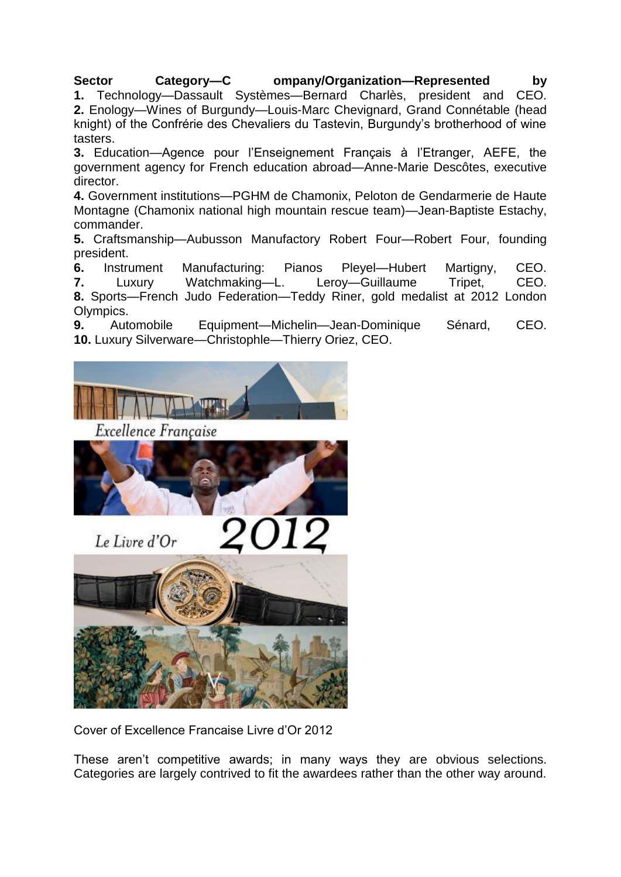## **Sector Category—C ompany/Organization—Represented by**

**1.** Technology—Dassault Systèmes—Bernard Charlès, president and CEO. **2.** Enology—Wines of Burgundy—Louis-Marc Chevignard, Grand Connétable (head knight) of the Confrérie des Chevaliers du Tastevin, Burgundy's brotherhood of wine tasters.

**3.** Education—Agence pour l'Enseignement Français à l'Etranger, AEFE, the government agency for French education abroad—Anne-Marie Descôtes, executive director.

**4.** Government institutions—PGHM de Chamonix, Peloton de Gendarmerie de Haute Montagne (Chamonix national high mountain rescue team)—Jean-Baptiste Estachy, commander.

**5.** Craftsmanship—Aubusson Manufactory Robert Four—Robert Four, founding president.

**6.** Instrument Manufacturing: Pianos Pleyel—Hubert Martigny, CEO.

**7.** Luxury Watchmaking—L. Leroy—Guillaume Tripet, CEO.

**8.** Sports—French Judo Federation—Teddy Riner, gold medalist at 2012 London Olympics.

**9.** Automobile Equipment—Michelin—Jean-Dominique Sénard, CEO. **10.** Luxury Silverware—Christophle—Thierry Oriez, CEO.



Cover of Excellence Francaise Livre d'Or 2012

These aren't competitive awards; in many ways they are obvious selections. Categories are largely contrived to fit the awardees rather than the other way around.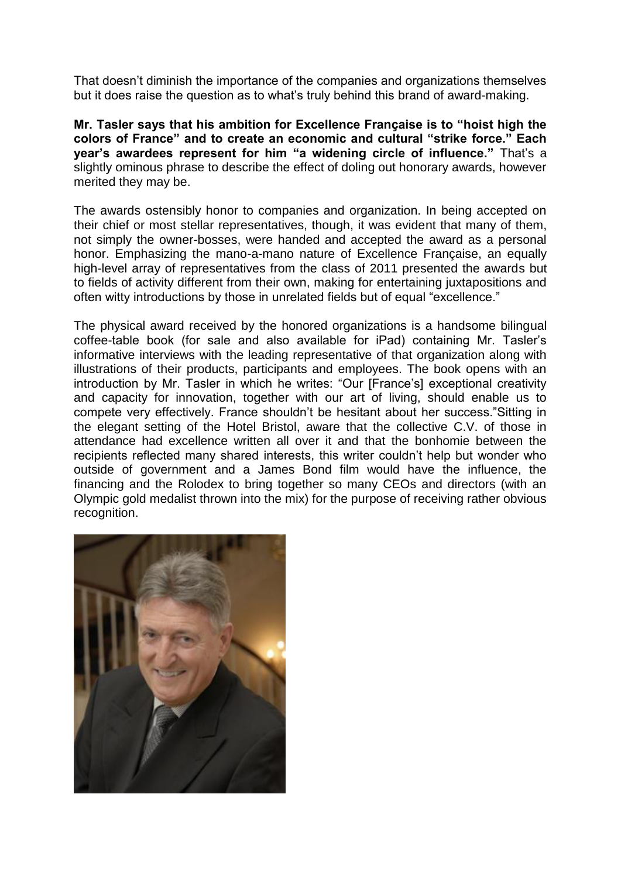That doesn't diminish the importance of the companies and organizations themselves but it does raise the question as to what's truly behind this brand of award-making.

**Mr. Tasler says that his ambition for Excellence Française is to "hoist high the colors of France" and to create an economic and cultural "strike force." Each year's awardees represent for him "a widening circle of influence."** That's a slightly ominous phrase to describe the effect of doling out honorary awards, however merited they may be.

The awards ostensibly honor to companies and organization. In being accepted on their chief or most stellar representatives, though, it was evident that many of them, not simply the owner-bosses, were handed and accepted the award as a personal honor. Emphasizing the mano-a-mano nature of Excellence Française, an equally high-level array of representatives from the class of 2011 presented the awards but to fields of activity different from their own, making for entertaining juxtapositions and often witty introductions by those in unrelated fields but of equal "excellence."

The physical award received by the honored organizations is a handsome bilingual coffee-table book (for sale and also available for iPad) containing Mr. Tasler's informative interviews with the leading representative of that organization along with illustrations of their products, participants and employees. The book opens with an introduction by Mr. Tasler in which he writes: "Our [France's] exceptional creativity and capacity for innovation, together with our art of living, should enable us to compete very effectively. France shouldn't be hesitant about her success."Sitting in the elegant setting of the Hotel Bristol, aware that the collective C.V. of those in attendance had excellence written all over it and that the bonhomie between the recipients reflected many shared interests, this writer couldn't help but wonder who outside of government and a James Bond film would have the influence, the financing and the Rolodex to bring together so many CEOs and directors (with an Olympic gold medalist thrown into the mix) for the purpose of receiving rather obvious recognition.

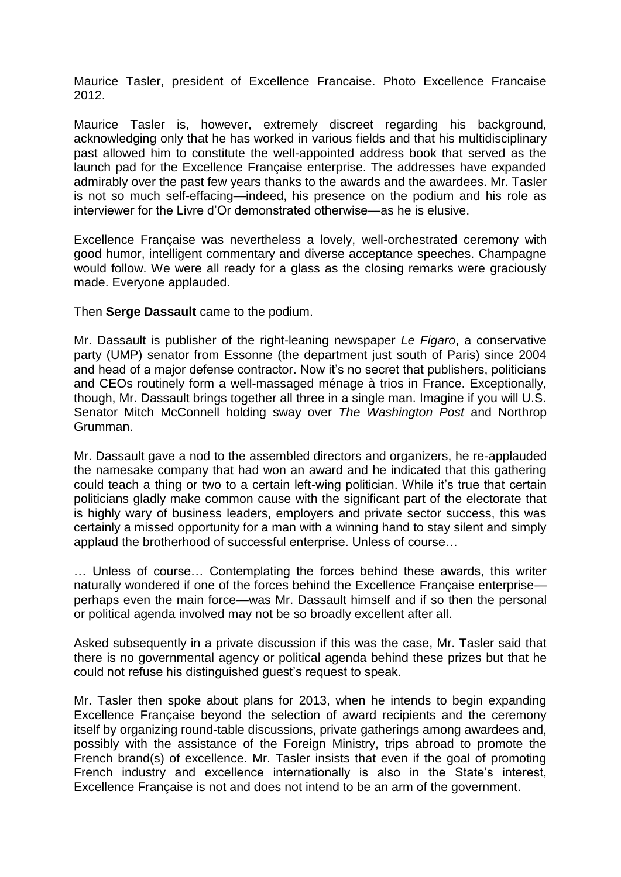Maurice Tasler, president of Excellence Francaise. Photo Excellence Francaise 2012.

Maurice Tasler is, however, extremely discreet regarding his background, acknowledging only that he has worked in various fields and that his multidisciplinary past allowed him to constitute the well-appointed address book that served as the launch pad for the Excellence Française enterprise. The addresses have expanded admirably over the past few years thanks to the awards and the awardees. Mr. Tasler is not so much self-effacing—indeed, his presence on the podium and his role as interviewer for the Livre d'Or demonstrated otherwise—as he is elusive.

Excellence Française was nevertheless a lovely, well-orchestrated ceremony with good humor, intelligent commentary and diverse acceptance speeches. Champagne would follow. We were all ready for a glass as the closing remarks were graciously made. Everyone applauded.

Then **Serge Dassault** came to the podium.

Mr. Dassault is publisher of the right-leaning newspaper *Le Figaro*, a conservative party (UMP) senator from Essonne (the department just south of Paris) since 2004 and head of a major defense contractor. Now it's no secret that publishers, politicians and CEOs routinely form a well-massaged ménage à trios in France. Exceptionally, though, Mr. Dassault brings together all three in a single man. Imagine if you will U.S. Senator Mitch McConnell holding sway over *The Washington Post* and Northrop Grumman.

Mr. Dassault gave a nod to the assembled directors and organizers, he re-applauded the namesake company that had won an award and he indicated that this gathering could teach a thing or two to a certain left-wing politician. While it's true that certain politicians gladly make common cause with the significant part of the electorate that is highly wary of business leaders, employers and private sector success, this was certainly a missed opportunity for a man with a winning hand to stay silent and simply applaud the brotherhood of successful enterprise. Unless of course…

… Unless of course… Contemplating the forces behind these awards, this writer naturally wondered if one of the forces behind the Excellence Française enterprise perhaps even the main force—was Mr. Dassault himself and if so then the personal or political agenda involved may not be so broadly excellent after all.

Asked subsequently in a private discussion if this was the case, Mr. Tasler said that there is no governmental agency or political agenda behind these prizes but that he could not refuse his distinguished guest's request to speak.

Mr. Tasler then spoke about plans for 2013, when he intends to begin expanding Excellence Française beyond the selection of award recipients and the ceremony itself by organizing round-table discussions, private gatherings among awardees and, possibly with the assistance of the Foreign Ministry, trips abroad to promote the French brand(s) of excellence. Mr. Tasler insists that even if the goal of promoting French industry and excellence internationally is also in the State's interest, Excellence Française is not and does not intend to be an arm of the government.